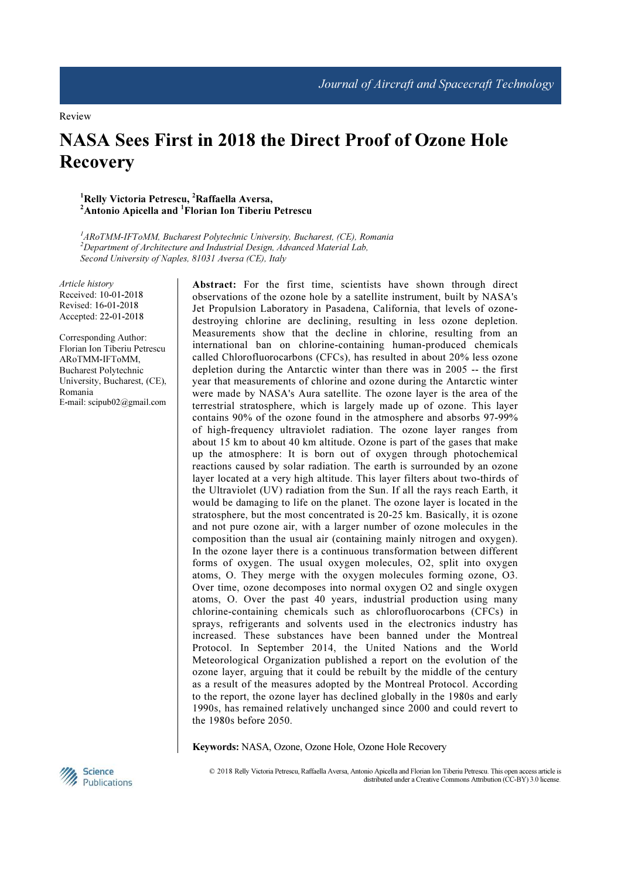# NASA Sees First in 2018 the Direct Proof of Ozone Hole **Recovery**

### <sup>1</sup>Relly Victoria Petrescu, <sup>2</sup>Raffaella Aversa, <sup>2</sup>Antonio Apicella and <sup>1</sup>Florian Ion Tiberiu Petrescu

 $1$ ARoTMM-IFToMM, Bucharest Polytechnic University, Bucharest, (CE), Romania  $2$ Department of Architecture and Industrial Design, Advanced Material Lab, Second University of Naples, 81031 Aversa (CE), Italy

Article history Received: 10-01-2018 Revised: 16-01-2018 Accepted: 22-01-2018

Corresponding Author: Florian Ion Tiberiu Petrescu ARoTMM-IFToMM, Bucharest Polytechnic University, Bucharest, (CE), Romania E-mail: scipub02@gmail.com

Abstract: For the first time, scientists have shown through direct observations of the ozone hole by a satellite instrument, built by NASA's Jet Propulsion Laboratory in Pasadena, California, that levels of ozonedestroying chlorine are declining, resulting in less ozone depletion. Measurements show that the decline in chlorine, resulting from an international ban on chlorine-containing human-produced chemicals called Chlorofluorocarbons (CFCs), has resulted in about 20% less ozone depletion during the Antarctic winter than there was in 2005 -- the first year that measurements of chlorine and ozone during the Antarctic winter were made by NASA's Aura satellite. The ozone layer is the area of the terrestrial stratosphere, which is largely made up of ozone. This layer contains 90% of the ozone found in the atmosphere and absorbs 97-99% of high-frequency ultraviolet radiation. The ozone layer ranges from about 15 km to about 40 km altitude. Ozone is part of the gases that make up the atmosphere: It is born out of oxygen through photochemical reactions caused by solar radiation. The earth is surrounded by an ozone layer located at a very high altitude. This layer filters about two-thirds of the Ultraviolet (UV) radiation from the Sun. If all the rays reach Earth, it would be damaging to life on the planet. The ozone layer is located in the stratosphere, but the most concentrated is 20-25 km. Basically, it is ozone and not pure ozone air, with a larger number of ozone molecules in the composition than the usual air (containing mainly nitrogen and oxygen). In the ozone layer there is a continuous transformation between different forms of oxygen. The usual oxygen molecules, O2, split into oxygen atoms, O. They merge with the oxygen molecules forming ozone, O3. Over time, ozone decomposes into normal oxygen O2 and single oxygen atoms, O. Over the past 40 years, industrial production using many chlorine-containing chemicals such as chlorofluorocarbons (CFCs) in sprays, refrigerants and solvents used in the electronics industry has increased. These substances have been banned under the Montreal Protocol. In September 2014, the United Nations and the World Meteorological Organization published a report on the evolution of the ozone layer, arguing that it could be rebuilt by the middle of the century as a result of the measures adopted by the Montreal Protocol. According to the report, the ozone layer has declined globally in the 1980s and early 1990s, has remained relatively unchanged since 2000 and could revert to the 1980s before 2050.

Keywords: NASA, Ozone, Ozone Hole, Ozone Hole Recovery



 © 2018 Relly Victoria Petrescu, Raffaella Aversa, Antonio Apicella and Florian Ion Tiberiu Petrescu. This open access article is distributed under a Creative Commons Attribution (CC-BY) 3.0 license.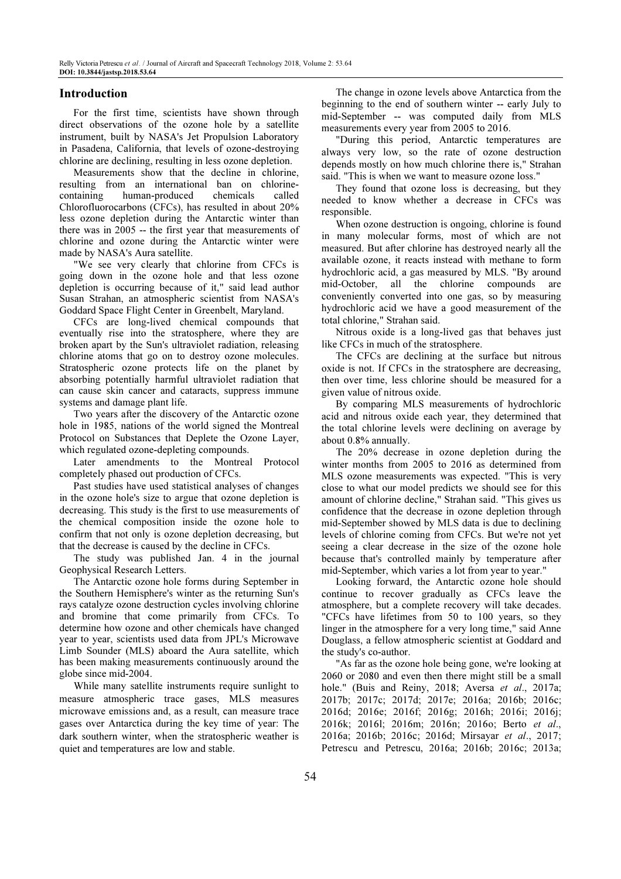# Introduction

For the first time, scientists have shown through direct observations of the ozone hole by a satellite instrument, built by NASA's Jet Propulsion Laboratory in Pasadena, California, that levels of ozone-destroying chlorine are declining, resulting in less ozone depletion.

Measurements show that the decline in chlorine, resulting from an international ban on chlorinecontaining human-produced chemicals called Chlorofluorocarbons (CFCs), has resulted in about 20% less ozone depletion during the Antarctic winter than there was in 2005 -- the first year that measurements of chlorine and ozone during the Antarctic winter were made by NASA's Aura satellite.

"We see very clearly that chlorine from CFCs is going down in the ozone hole and that less ozone depletion is occurring because of it," said lead author Susan Strahan, an atmospheric scientist from NASA's Goddard Space Flight Center in Greenbelt, Maryland.

CFCs are long-lived chemical compounds that eventually rise into the stratosphere, where they are broken apart by the Sun's ultraviolet radiation, releasing chlorine atoms that go on to destroy ozone molecules. Stratospheric ozone protects life on the planet by absorbing potentially harmful ultraviolet radiation that can cause skin cancer and cataracts, suppress immune systems and damage plant life.

Two years after the discovery of the Antarctic ozone hole in 1985, nations of the world signed the Montreal Protocol on Substances that Deplete the Ozone Layer, which regulated ozone-depleting compounds.

Later amendments to the Montreal Protocol completely phased out production of CFCs.

Past studies have used statistical analyses of changes in the ozone hole's size to argue that ozone depletion is decreasing. This study is the first to use measurements of the chemical composition inside the ozone hole to confirm that not only is ozone depletion decreasing, but that the decrease is caused by the decline in CFCs.

The study was published Jan. 4 in the journal Geophysical Research Letters.

The Antarctic ozone hole forms during September in the Southern Hemisphere's winter as the returning Sun's rays catalyze ozone destruction cycles involving chlorine and bromine that come primarily from CFCs. To determine how ozone and other chemicals have changed year to year, scientists used data from JPL's Microwave Limb Sounder (MLS) aboard the Aura satellite, which has been making measurements continuously around the globe since mid-2004.

While many satellite instruments require sunlight to measure atmospheric trace gases, MLS measures microwave emissions and, as a result, can measure trace gases over Antarctica during the key time of year: The dark southern winter, when the stratospheric weather is quiet and temperatures are low and stable.

The change in ozone levels above Antarctica from the beginning to the end of southern winter -- early July to mid-September -- was computed daily from MLS measurements every year from 2005 to 2016.

"During this period, Antarctic temperatures are always very low, so the rate of ozone destruction depends mostly on how much chlorine there is," Strahan said. "This is when we want to measure ozone loss."

They found that ozone loss is decreasing, but they needed to know whether a decrease in CFCs was responsible.

When ozone destruction is ongoing, chlorine is found in many molecular forms, most of which are not measured. But after chlorine has destroyed nearly all the available ozone, it reacts instead with methane to form hydrochloric acid, a gas measured by MLS. "By around mid-October, all the chlorine compounds are conveniently converted into one gas, so by measuring hydrochloric acid we have a good measurement of the total chlorine," Strahan said.

Nitrous oxide is a long-lived gas that behaves just like CFCs in much of the stratosphere.

The CFCs are declining at the surface but nitrous oxide is not. If CFCs in the stratosphere are decreasing, then over time, less chlorine should be measured for a given value of nitrous oxide.

By comparing MLS measurements of hydrochloric acid and nitrous oxide each year, they determined that the total chlorine levels were declining on average by about 0.8% annually.

The 20% decrease in ozone depletion during the winter months from 2005 to 2016 as determined from MLS ozone measurements was expected. "This is very close to what our model predicts we should see for this amount of chlorine decline," Strahan said. "This gives us confidence that the decrease in ozone depletion through mid-September showed by MLS data is due to declining levels of chlorine coming from CFCs. But we're not yet seeing a clear decrease in the size of the ozone hole because that's controlled mainly by temperature after mid-September, which varies a lot from year to year."

Looking forward, the Antarctic ozone hole should continue to recover gradually as CFCs leave the atmosphere, but a complete recovery will take decades. "CFCs have lifetimes from 50 to 100 years, so they linger in the atmosphere for a very long time," said Anne Douglass, a fellow atmospheric scientist at Goddard and the study's co-author.

"As far as the ozone hole being gone, we're looking at 2060 or 2080 and even then there might still be a small hole." (Buis and Reiny, 2018; Aversa et al., 2017a; 2017b; 2017c; 2017d; 2017e; 2016a; 2016b; 2016c; 2016d; 2016e; 2016f; 2016g; 2016h; 2016i; 2016j; 2016k; 2016l; 2016m; 2016n; 2016o; Berto et al., 2016a; 2016b; 2016c; 2016d; Mirsayar et al., 2017; Petrescu and Petrescu, 2016a; 2016b; 2016c; 2013a;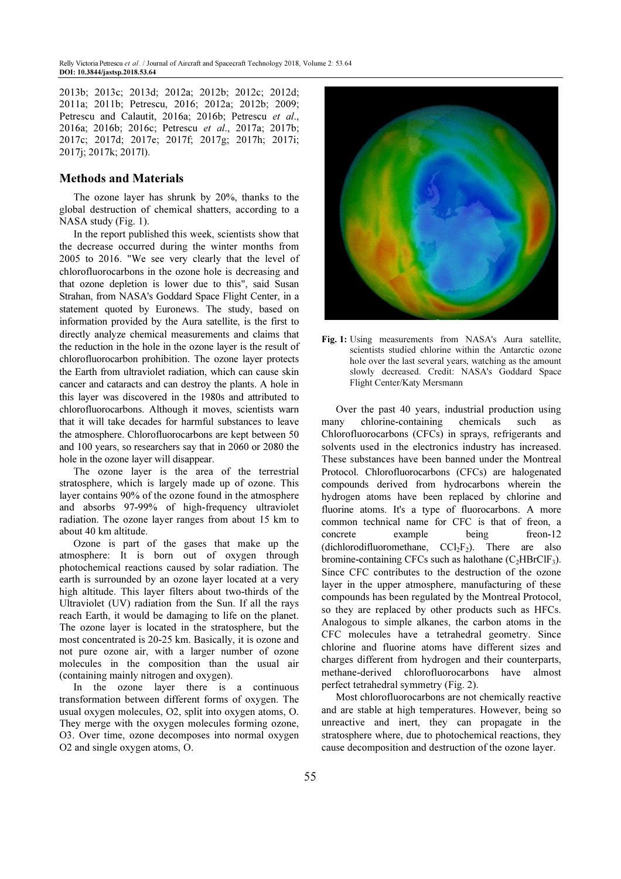2013b; 2013c; 2013d; 2012a; 2012b; 2012c; 2012d; 2011a; 2011b; Petrescu, 2016; 2012a; 2012b; 2009; Petrescu and Calautit, 2016a; 2016b; Petrescu et al., 2016a; 2016b; 2016c; Petrescu et al., 2017a; 2017b; 2017c; 2017d; 2017e; 2017f; 2017g; 2017h; 2017i; 2017j; 2017k; 2017l).

#### Methods and Materials

The ozone layer has shrunk by 20%, thanks to the global destruction of chemical shatters, according to a NASA study (Fig. 1).

In the report published this week, scientists show that the decrease occurred during the winter months from 2005 to 2016. "We see very clearly that the level of chlorofluorocarbons in the ozone hole is decreasing and that ozone depletion is lower due to this", said Susan Strahan, from NASA's Goddard Space Flight Center, in a statement quoted by Euronews. The study, based on information provided by the Aura satellite, is the first to directly analyze chemical measurements and claims that the reduction in the hole in the ozone layer is the result of chlorofluorocarbon prohibition. The ozone layer protects the Earth from ultraviolet radiation, which can cause skin cancer and cataracts and can destroy the plants. A hole in this layer was discovered in the 1980s and attributed to chlorofluorocarbons. Although it moves, scientists warn that it will take decades for harmful substances to leave the atmosphere. Chlorofluorocarbons are kept between 50 and 100 years, so researchers say that in 2060 or 2080 the hole in the ozone layer will disappear.

The ozone layer is the area of the terrestrial stratosphere, which is largely made up of ozone. This layer contains 90% of the ozone found in the atmosphere and absorbs 97-99% of high-frequency ultraviolet radiation. The ozone layer ranges from about 15 km to about 40 km altitude.

Ozone is part of the gases that make up the atmosphere: It is born out of oxygen through photochemical reactions caused by solar radiation. The earth is surrounded by an ozone layer located at a very high altitude. This layer filters about two-thirds of the Ultraviolet (UV) radiation from the Sun. If all the rays reach Earth, it would be damaging to life on the planet. The ozone layer is located in the stratosphere, but the most concentrated is 20-25 km. Basically, it is ozone and not pure ozone air, with a larger number of ozone molecules in the composition than the usual air (containing mainly nitrogen and oxygen).

In the ozone layer there is a continuous transformation between different forms of oxygen. The usual oxygen molecules, O2, split into oxygen atoms, O. They merge with the oxygen molecules forming ozone, O3. Over time, ozone decomposes into normal oxygen O2 and single oxygen atoms, O.



Fig. 1: Using measurements from NASA's Aura satellite, scientists studied chlorine within the Antarctic ozone hole over the last several years, watching as the amount slowly decreased. Credit: NASA's Goddard Space Flight Center/Katy Mersmann

Over the past 40 years, industrial production using many chlorine-containing chemicals such as Chlorofluorocarbons (CFCs) in sprays, refrigerants and solvents used in the electronics industry has increased. These substances have been banned under the Montreal Protocol. Chlorofluorocarbons (CFCs) are halogenated compounds derived from hydrocarbons wherein the hydrogen atoms have been replaced by chlorine and fluorine atoms. It's a type of fluorocarbons. A more common technical name for CFC is that of freon, a concrete example being freon-12 (dichlorodifluoromethane,  $CCl_2F_2$ ). There are also bromine-containing CFCs such as halothane  $(C_2HBrClF_3)$ . Since CFC contributes to the destruction of the ozone layer in the upper atmosphere, manufacturing of these compounds has been regulated by the Montreal Protocol, so they are replaced by other products such as HFCs. Analogous to simple alkanes, the carbon atoms in the CFC molecules have a tetrahedral geometry. Since chlorine and fluorine atoms have different sizes and charges different from hydrogen and their counterparts, methane-derived chlorofluorocarbons have almost perfect tetrahedral symmetry (Fig. 2).

Most chlorofluorocarbons are not chemically reactive and are stable at high temperatures. However, being so unreactive and inert, they can propagate in the stratosphere where, due to photochemical reactions, they cause decomposition and destruction of the ozone layer.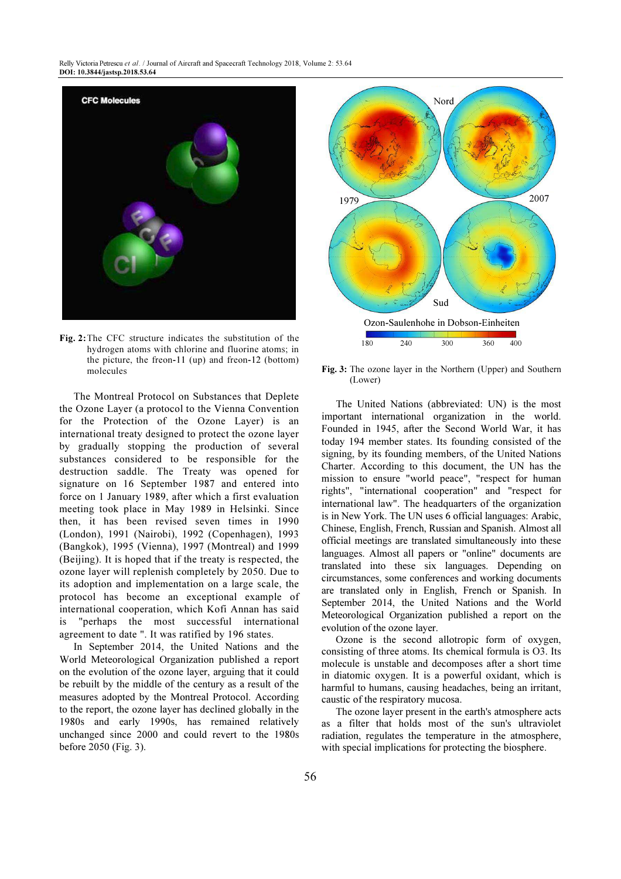

Fig. 2: The CFC structure indicates the substitution of the hydrogen atoms with chlorine and fluorine atoms; in the picture, the freon-11 (up) and freon-12 (bottom) molecules

The Montreal Protocol on Substances that Deplete the Ozone Layer (a protocol to the Vienna Convention for the Protection of the Ozone Layer) is an international treaty designed to protect the ozone layer by gradually stopping the production of several substances considered to be responsible for the destruction saddle. The Treaty was opened for signature on 16 September 1987 and entered into force on 1 January 1989, after which a first evaluation meeting took place in May 1989 in Helsinki. Since then, it has been revised seven times in 1990 (London), 1991 (Nairobi), 1992 (Copenhagen), 1993 (Bangkok), 1995 (Vienna), 1997 (Montreal) and 1999 (Beijing). It is hoped that if the treaty is respected, the ozone layer will replenish completely by 2050. Due to its adoption and implementation on a large scale, the protocol has become an exceptional example of international cooperation, which Kofi Annan has said is "perhaps the most successful international agreement to date ". It was ratified by 196 states.

In September 2014, the United Nations and the World Meteorological Organization published a report on the evolution of the ozone layer, arguing that it could be rebuilt by the middle of the century as a result of the measures adopted by the Montreal Protocol. According to the report, the ozone layer has declined globally in the 1980s and early 1990s, has remained relatively unchanged since 2000 and could revert to the 1980s before 2050 (Fig. 3).



Fig. 3: The ozone layer in the Northern (Upper) and Southern (Lower)

The United Nations (abbreviated: UN) is the most important international organization in the world. Founded in 1945, after the Second World War, it has today 194 member states. Its founding consisted of the signing, by its founding members, of the United Nations Charter. According to this document, the UN has the mission to ensure "world peace", "respect for human rights", "international cooperation" and "respect for international law". The headquarters of the organization is in New York. The UN uses 6 official languages: Arabic, Chinese, English, French, Russian and Spanish. Almost all official meetings are translated simultaneously into these languages. Almost all papers or "online" documents are translated into these six languages. Depending on circumstances, some conferences and working documents are translated only in English, French or Spanish. In September 2014, the United Nations and the World Meteorological Organization published a report on the evolution of the ozone layer.

Ozone is the second allotropic form of oxygen, consisting of three atoms. Its chemical formula is O3. Its molecule is unstable and decomposes after a short time in diatomic oxygen. It is a powerful oxidant, which is harmful to humans, causing headaches, being an irritant, caustic of the respiratory mucosa.

The ozone layer present in the earth's atmosphere acts as a filter that holds most of the sun's ultraviolet radiation, regulates the temperature in the atmosphere, with special implications for protecting the biosphere.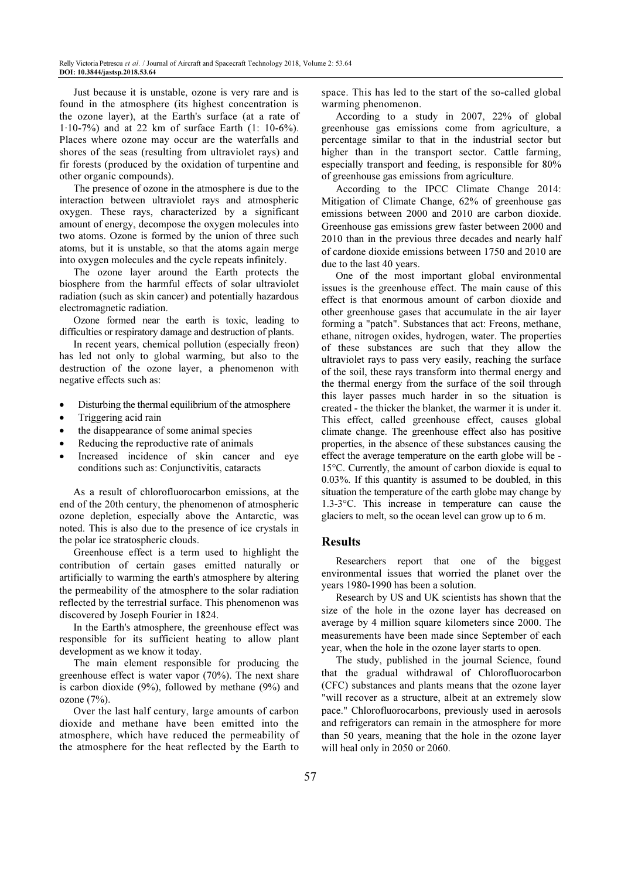Just because it is unstable, ozone is very rare and is found in the atmosphere (its highest concentration is the ozone layer), at the Earth's surface (at a rate of 1·10-7%) and at 22 km of surface Earth (1: 10-6%). Places where ozone may occur are the waterfalls and shores of the seas (resulting from ultraviolet rays) and fir forests (produced by the oxidation of turpentine and other organic compounds).

The presence of ozone in the atmosphere is due to the interaction between ultraviolet rays and atmospheric oxygen. These rays, characterized by a significant amount of energy, decompose the oxygen molecules into two atoms. Ozone is formed by the union of three such atoms, but it is unstable, so that the atoms again merge into oxygen molecules and the cycle repeats infinitely.

The ozone layer around the Earth protects the biosphere from the harmful effects of solar ultraviolet radiation (such as skin cancer) and potentially hazardous electromagnetic radiation.

Ozone formed near the earth is toxic, leading to difficulties or respiratory damage and destruction of plants.

In recent years, chemical pollution (especially freon) has led not only to global warming, but also to the destruction of the ozone layer, a phenomenon with negative effects such as:

- Disturbing the thermal equilibrium of the atmosphere
- Triggering acid rain
- the disappearance of some animal species
- Reducing the reproductive rate of animals
- Increased incidence of skin cancer and eye conditions such as: Conjunctivitis, cataracts

As a result of chlorofluorocarbon emissions, at the end of the 20th century, the phenomenon of atmospheric ozone depletion, especially above the Antarctic, was noted. This is also due to the presence of ice crystals in the polar ice stratospheric clouds.

Greenhouse effect is a term used to highlight the contribution of certain gases emitted naturally or artificially to warming the earth's atmosphere by altering the permeability of the atmosphere to the solar radiation reflected by the terrestrial surface. This phenomenon was discovered by Joseph Fourier in 1824.

In the Earth's atmosphere, the greenhouse effect was responsible for its sufficient heating to allow plant development as we know it today.

The main element responsible for producing the greenhouse effect is water vapor (70%). The next share is carbon dioxide (9%), followed by methane (9%) and ozone (7%).

Over the last half century, large amounts of carbon dioxide and methane have been emitted into the atmosphere, which have reduced the permeability of the atmosphere for the heat reflected by the Earth to

space. This has led to the start of the so-called global warming phenomenon.

According to a study in 2007, 22% of global greenhouse gas emissions come from agriculture, a percentage similar to that in the industrial sector but higher than in the transport sector. Cattle farming, especially transport and feeding, is responsible for 80% of greenhouse gas emissions from agriculture.

According to the IPCC Climate Change 2014: Mitigation of Climate Change, 62% of greenhouse gas emissions between 2000 and 2010 are carbon dioxide. Greenhouse gas emissions grew faster between 2000 and 2010 than in the previous three decades and nearly half of cardone dioxide emissions between 1750 and 2010 are due to the last 40 years.

One of the most important global environmental issues is the greenhouse effect. The main cause of this effect is that enormous amount of carbon dioxide and other greenhouse gases that accumulate in the air layer forming a "patch". Substances that act: Freons, methane, ethane, nitrogen oxides, hydrogen, water. The properties of these substances are such that they allow the ultraviolet rays to pass very easily, reaching the surface of the soil, these rays transform into thermal energy and the thermal energy from the surface of the soil through this layer passes much harder in so the situation is created - the thicker the blanket, the warmer it is under it. This effect, called greenhouse effect, causes global climate change. The greenhouse effect also has positive properties, in the absence of these substances causing the effect the average temperature on the earth globe will be - 15°C. Currently, the amount of carbon dioxide is equal to 0.03%. If this quantity is assumed to be doubled, in this situation the temperature of the earth globe may change by 1.3-3°C. This increase in temperature can cause the glaciers to melt, so the ocean level can grow up to 6 m.

#### Results

Researchers report that one of the biggest environmental issues that worried the planet over the years 1980-1990 has been a solution.

Research by US and UK scientists has shown that the size of the hole in the ozone layer has decreased on average by 4 million square kilometers since 2000. The measurements have been made since September of each year, when the hole in the ozone layer starts to open.

The study, published in the journal Science, found that the gradual withdrawal of Chlorofluorocarbon (CFC) substances and plants means that the ozone layer "will recover as a structure, albeit at an extremely slow pace." Chlorofluorocarbons, previously used in aerosols and refrigerators can remain in the atmosphere for more than 50 years, meaning that the hole in the ozone layer will heal only in 2050 or 2060.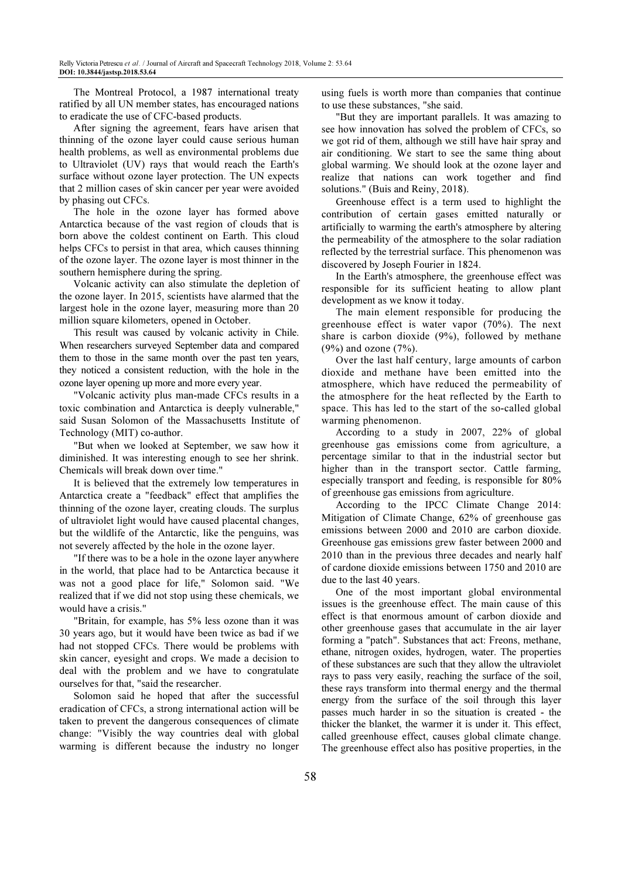The Montreal Protocol, a 1987 international treaty ratified by all UN member states, has encouraged nations to eradicate the use of CFC-based products.

After signing the agreement, fears have arisen that thinning of the ozone layer could cause serious human health problems, as well as environmental problems due to Ultraviolet (UV) rays that would reach the Earth's surface without ozone layer protection. The UN expects that 2 million cases of skin cancer per year were avoided by phasing out CFCs.

The hole in the ozone layer has formed above Antarctica because of the vast region of clouds that is born above the coldest continent on Earth. This cloud helps CFCs to persist in that area, which causes thinning of the ozone layer. The ozone layer is most thinner in the southern hemisphere during the spring.

Volcanic activity can also stimulate the depletion of the ozone layer. In 2015, scientists have alarmed that the largest hole in the ozone layer, measuring more than 20 million square kilometers, opened in October.

This result was caused by volcanic activity in Chile. When researchers surveyed September data and compared them to those in the same month over the past ten years, they noticed a consistent reduction, with the hole in the ozone layer opening up more and more every year.

"Volcanic activity plus man-made CFCs results in a toxic combination and Antarctica is deeply vulnerable," said Susan Solomon of the Massachusetts Institute of Technology (MIT) co-author.

"But when we looked at September, we saw how it diminished. It was interesting enough to see her shrink. Chemicals will break down over time."

It is believed that the extremely low temperatures in Antarctica create a "feedback" effect that amplifies the thinning of the ozone layer, creating clouds. The surplus of ultraviolet light would have caused placental changes, but the wildlife of the Antarctic, like the penguins, was not severely affected by the hole in the ozone layer.

"If there was to be a hole in the ozone layer anywhere in the world, that place had to be Antarctica because it was not a good place for life," Solomon said. "We realized that if we did not stop using these chemicals, we would have a crisis."

"Britain, for example, has 5% less ozone than it was 30 years ago, but it would have been twice as bad if we had not stopped CFCs. There would be problems with skin cancer, eyesight and crops. We made a decision to deal with the problem and we have to congratulate ourselves for that, "said the researcher.

Solomon said he hoped that after the successful eradication of CFCs, a strong international action will be taken to prevent the dangerous consequences of climate change: "Visibly the way countries deal with global warming is different because the industry no longer using fuels is worth more than companies that continue to use these substances, "she said.

"But they are important parallels. It was amazing to see how innovation has solved the problem of CFCs, so we got rid of them, although we still have hair spray and air conditioning. We start to see the same thing about global warming. We should look at the ozone layer and realize that nations can work together and find solutions." (Buis and Reiny, 2018).

Greenhouse effect is a term used to highlight the contribution of certain gases emitted naturally or artificially to warming the earth's atmosphere by altering the permeability of the atmosphere to the solar radiation reflected by the terrestrial surface. This phenomenon was discovered by Joseph Fourier in 1824.

In the Earth's atmosphere, the greenhouse effect was responsible for its sufficient heating to allow plant development as we know it today.

The main element responsible for producing the greenhouse effect is water vapor (70%). The next share is carbon dioxide (9%), followed by methane (9%) and ozone (7%).

Over the last half century, large amounts of carbon dioxide and methane have been emitted into the atmosphere, which have reduced the permeability of the atmosphere for the heat reflected by the Earth to space. This has led to the start of the so-called global warming phenomenon.

According to a study in 2007, 22% of global greenhouse gas emissions come from agriculture, a percentage similar to that in the industrial sector but higher than in the transport sector. Cattle farming, especially transport and feeding, is responsible for 80% of greenhouse gas emissions from agriculture.

According to the IPCC Climate Change 2014: Mitigation of Climate Change, 62% of greenhouse gas emissions between 2000 and 2010 are carbon dioxide. Greenhouse gas emissions grew faster between 2000 and 2010 than in the previous three decades and nearly half of cardone dioxide emissions between 1750 and 2010 are due to the last 40 years.

One of the most important global environmental issues is the greenhouse effect. The main cause of this effect is that enormous amount of carbon dioxide and other greenhouse gases that accumulate in the air layer forming a "patch". Substances that act: Freons, methane, ethane, nitrogen oxides, hydrogen, water. The properties of these substances are such that they allow the ultraviolet rays to pass very easily, reaching the surface of the soil, these rays transform into thermal energy and the thermal energy from the surface of the soil through this layer passes much harder in so the situation is created - the thicker the blanket, the warmer it is under it. This effect, called greenhouse effect, causes global climate change. The greenhouse effect also has positive properties, in the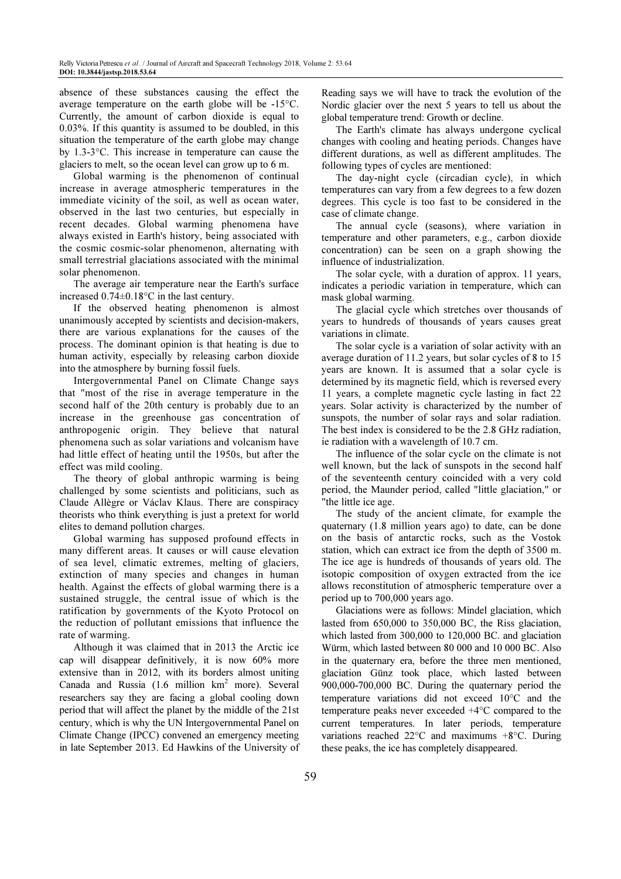absence of these substances causing the effect the average temperature on the earth globe will be -15°C. Currently, the amount of carbon dioxide is equal to 0.03%. If this quantity is assumed to be doubled, in this situation the temperature of the earth globe may change by 1.3-3°C. This increase in temperature can cause the glaciers to melt, so the ocean level can grow up to 6 m.

Global warming is the phenomenon of continual increase in average atmospheric temperatures in the immediate vicinity of the soil, as well as ocean water, observed in the last two centuries, but especially in recent decades. Global warming phenomena have always existed in Earth's history, being associated with the cosmic cosmic-solar phenomenon, alternating with small terrestrial glaciations associated with the minimal solar phenomenon.

The average air temperature near the Earth's surface increased 0.74±0.18°C in the last century.

If the observed heating phenomenon is almost unanimously accepted by scientists and decision-makers, there are various explanations for the causes of the process. The dominant opinion is that heating is due to human activity, especially by releasing carbon dioxide into the atmosphere by burning fossil fuels.

Intergovernmental Panel on Climate Change says that "most of the rise in average temperature in the second half of the 20th century is probably due to an increase in the greenhouse gas concentration of anthropogenic origin. They believe that natural phenomena such as solar variations and volcanism have had little effect of heating until the 1950s, but after the effect was mild cooling.

The theory of global anthropic warming is being challenged by some scientists and politicians, such as Claude Allègre or Václav Klaus. There are conspiracy theorists who think everything is just a pretext for world elites to demand pollution charges.

Global warming has supposed profound effects in many different areas. It causes or will cause elevation of sea level, climatic extremes, melting of glaciers, extinction of many species and changes in human health. Against the effects of global warming there is a sustained struggle, the central issue of which is the ratification by governments of the Kyoto Protocol on the reduction of pollutant emissions that influence the rate of warming.

Although it was claimed that in 2013 the Arctic ice cap will disappear definitively, it is now 60% more extensive than in 2012, with its borders almost uniting Canada and Russia  $(1.6 \text{ million km}^2 \text{ more})$ . Several researchers say they are facing a global cooling down period that will affect the planet by the middle of the 21st century, which is why the UN Intergovernmental Panel on Climate Change (IPCC) convened an emergency meeting in late September 2013. Ed Hawkins of the University of

Reading says we will have to track the evolution of the Nordic glacier over the next 5 years to tell us about the global temperature trend: Growth or decline.

The Earth's climate has always undergone cyclical changes with cooling and heating periods. Changes have different durations, as well as different amplitudes. The following types of cycles are mentioned:

The day-night cycle (circadian cycle), in which temperatures can vary from a few degrees to a few dozen degrees. This cycle is too fast to be considered in the case of climate change.

The annual cycle (seasons), where variation in temperature and other parameters, e.g., carbon dioxide concentration) can be seen on a graph showing the influence of industrialization.

The solar cycle, with a duration of approx. 11 years, indicates a periodic variation in temperature, which can mask global warming.

The glacial cycle which stretches over thousands of years to hundreds of thousands of years causes great variations in climate.

The solar cycle is a variation of solar activity with an average duration of 11.2 years, but solar cycles of 8 to 15 years are known. It is assumed that a solar cycle is determined by its magnetic field, which is reversed every 11 years, a complete magnetic cycle lasting in fact 22 years. Solar activity is characterized by the number of sunspots, the number of solar rays and solar radiation. The best index is considered to be the 2.8 GHz radiation, ie radiation with a wavelength of 10.7 cm.

The influence of the solar cycle on the climate is not well known, but the lack of sunspots in the second half of the seventeenth century coincided with a very cold period, the Maunder period, called "little glaciation," or "the little ice age.

The study of the ancient climate, for example the quaternary (1.8 million years ago) to date, can be done on the basis of antarctic rocks, such as the Vostok station, which can extract ice from the depth of 3500 m. The ice age is hundreds of thousands of years old. The isotopic composition of oxygen extracted from the ice allows reconstitution of atmospheric temperature over a period up to 700,000 years ago.

Glaciations were as follows: Mindel glaciation, which lasted from 650,000 to 350,000 BC, the Riss glaciation, which lasted from 300,000 to 120,000 BC. and glaciation Würm, which lasted between 80 000 and 10 000 BC. Also in the quaternary era, before the three men mentioned, glaciation Günz took place, which lasted between 900,000-700,000 BC. During the quaternary period the temperature variations did not exceed 10°C and the temperature peaks never exceeded +4°C compared to the current temperatures. In later periods, temperature variations reached 22°C and maximums +8°C. During these peaks, the ice has completely disappeared.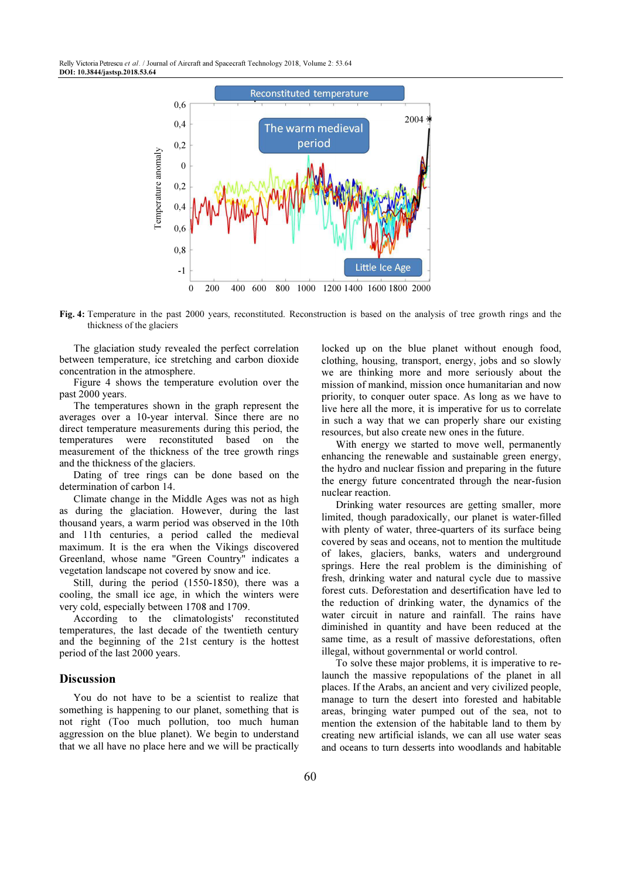Relly Victoria Petrescu et al. / Journal of Aircraft and Spacecraft Technology 2018, Volume 2: 53.64 DOI: 10.3844/jastsp.2018.53.64



Fig. 4: Temperature in the past 2000 years, reconstituted. Reconstruction is based on the analysis of tree growth rings and the thickness of the glaciers

The glaciation study revealed the perfect correlation between temperature, ice stretching and carbon dioxide concentration in the atmosphere.

Figure 4 shows the temperature evolution over the past 2000 years.

The temperatures shown in the graph represent the averages over a 10-year interval. Since there are no direct temperature measurements during this period, the temperatures were reconstituted based on the measurement of the thickness of the tree growth rings and the thickness of the glaciers.

Dating of tree rings can be done based on the determination of carbon 14.

Climate change in the Middle Ages was not as high as during the glaciation. However, during the last thousand years, a warm period was observed in the 10th and 11th centuries, a period called the medieval maximum. It is the era when the Vikings discovered Greenland, whose name "Green Country" indicates a vegetation landscape not covered by snow and ice.

Still, during the period (1550-1850), there was a cooling, the small ice age, in which the winters were very cold, especially between 1708 and 1709.

According to the climatologists' reconstituted temperatures, the last decade of the twentieth century and the beginning of the 21st century is the hottest period of the last 2000 years.

#### Discussion

You do not have to be a scientist to realize that something is happening to our planet, something that is not right (Too much pollution, too much human aggression on the blue planet). We begin to understand that we all have no place here and we will be practically locked up on the blue planet without enough food, clothing, housing, transport, energy, jobs and so slowly we are thinking more and more seriously about the mission of mankind, mission once humanitarian and now priority, to conquer outer space. As long as we have to live here all the more, it is imperative for us to correlate in such a way that we can properly share our existing resources, but also create new ones in the future.

With energy we started to move well, permanently enhancing the renewable and sustainable green energy, the hydro and nuclear fission and preparing in the future the energy future concentrated through the near-fusion nuclear reaction.

Drinking water resources are getting smaller, more limited, though paradoxically, our planet is water-filled with plenty of water, three-quarters of its surface being covered by seas and oceans, not to mention the multitude of lakes, glaciers, banks, waters and underground springs. Here the real problem is the diminishing of fresh, drinking water and natural cycle due to massive forest cuts. Deforestation and desertification have led to the reduction of drinking water, the dynamics of the water circuit in nature and rainfall. The rains have diminished in quantity and have been reduced at the same time, as a result of massive deforestations, often illegal, without governmental or world control.

To solve these major problems, it is imperative to relaunch the massive repopulations of the planet in all places. If the Arabs, an ancient and very civilized people, manage to turn the desert into forested and habitable areas, bringing water pumped out of the sea, not to mention the extension of the habitable land to them by creating new artificial islands, we can all use water seas and oceans to turn desserts into woodlands and habitable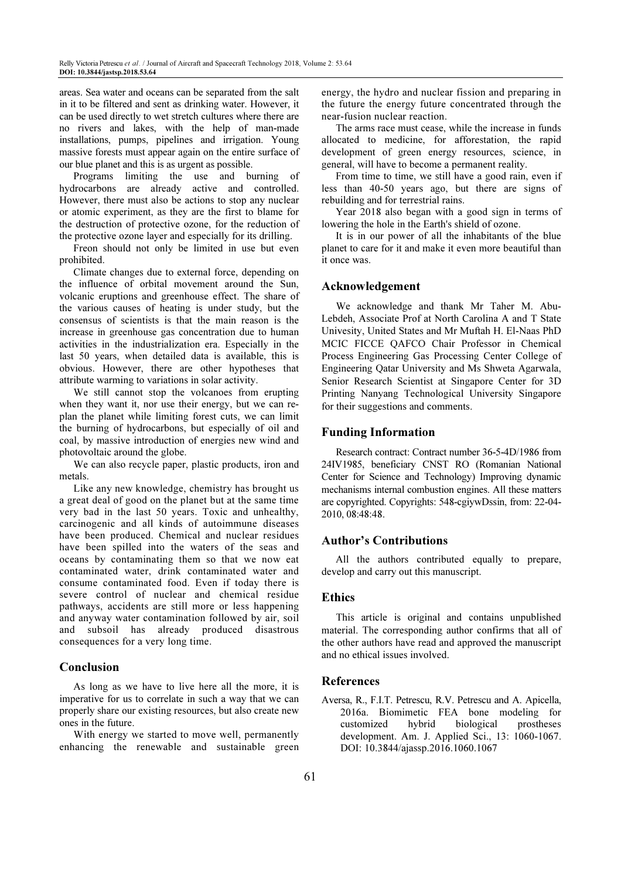areas. Sea water and oceans can be separated from the salt in it to be filtered and sent as drinking water. However, it can be used directly to wet stretch cultures where there are no rivers and lakes, with the help of man-made installations, pumps, pipelines and irrigation. Young massive forests must appear again on the entire surface of our blue planet and this is as urgent as possible.

Programs limiting the use and burning of hydrocarbons are already active and controlled. However, there must also be actions to stop any nuclear or atomic experiment, as they are the first to blame for the destruction of protective ozone, for the reduction of the protective ozone layer and especially for its drilling.

Freon should not only be limited in use but even prohibited.

Climate changes due to external force, depending on the influence of orbital movement around the Sun, volcanic eruptions and greenhouse effect. The share of the various causes of heating is under study, but the consensus of scientists is that the main reason is the increase in greenhouse gas concentration due to human activities in the industrialization era. Especially in the last 50 years, when detailed data is available, this is obvious. However, there are other hypotheses that attribute warming to variations in solar activity.

We still cannot stop the volcanoes from erupting when they want it, nor use their energy, but we can replan the planet while limiting forest cuts, we can limit the burning of hydrocarbons, but especially of oil and coal, by massive introduction of energies new wind and photovoltaic around the globe.

We can also recycle paper, plastic products, iron and metals.

Like any new knowledge, chemistry has brought us a great deal of good on the planet but at the same time very bad in the last 50 years. Toxic and unhealthy, carcinogenic and all kinds of autoimmune diseases have been produced. Chemical and nuclear residues have been spilled into the waters of the seas and oceans by contaminating them so that we now eat contaminated water, drink contaminated water and consume contaminated food. Even if today there is severe control of nuclear and chemical residue pathways, accidents are still more or less happening and anyway water contamination followed by air, soil and subsoil has already produced disastrous consequences for a very long time.

# Conclusion

As long as we have to live here all the more, it is imperative for us to correlate in such a way that we can properly share our existing resources, but also create new ones in the future.

With energy we started to move well, permanently enhancing the renewable and sustainable green energy, the hydro and nuclear fission and preparing in the future the energy future concentrated through the near-fusion nuclear reaction.

The arms race must cease, while the increase in funds allocated to medicine, for afforestation, the rapid development of green energy resources, science, in general, will have to become a permanent reality.

From time to time, we still have a good rain, even if less than 40-50 years ago, but there are signs of rebuilding and for terrestrial rains.

Year 2018 also began with a good sign in terms of lowering the hole in the Earth's shield of ozone.

It is in our power of all the inhabitants of the blue planet to care for it and make it even more beautiful than it once was.

## Acknowledgement

We acknowledge and thank Mr Taher M. Abu-Lebdeh, Associate Prof at North Carolina A and T State Univesity, United States and Mr Muftah H. El-Naas PhD MCIC FICCE QAFCO Chair Professor in Chemical Process Engineering Gas Processing Center College of Engineering Qatar University and Ms Shweta Agarwala, Senior Research Scientist at Singapore Center for 3D Printing Nanyang Technological University Singapore for their suggestions and comments.

## Funding Information

Research contract: Contract number 36-5-4D/1986 from 24IV1985, beneficiary CNST RO (Romanian National Center for Science and Technology) Improving dynamic mechanisms internal combustion engines. All these matters are copyrighted. Copyrights: 548-cgiywDssin, from: 22-04- 2010, 08:48:48.

## Author's Contributions

All the authors contributed equally to prepare, develop and carry out this manuscript.

#### **Ethics**

This article is original and contains unpublished material. The corresponding author confirms that all of the other authors have read and approved the manuscript and no ethical issues involved.

#### References

Aversa, R., F.I.T. Petrescu, R.V. Petrescu and A. Apicella, 2016a. Biomimetic FEA bone modeling for customized hybrid biological prostheses development. Am. J. Applied Sci., 13: 1060-1067. DOI: 10.3844/ajassp.2016.1060.1067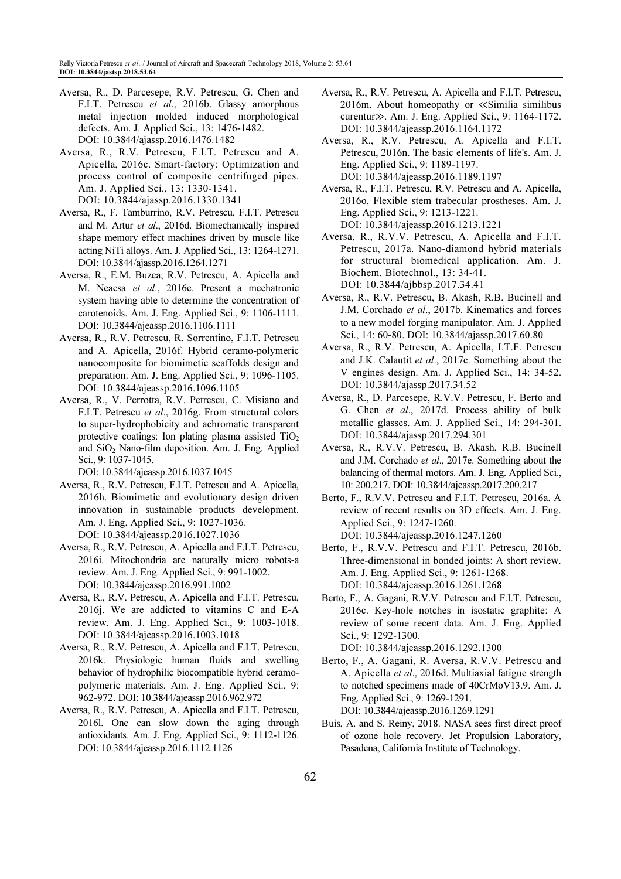- Aversa, R., D. Parcesepe, R.V. Petrescu, G. Chen and F.I.T. Petrescu et al., 2016b. Glassy amorphous metal injection molded induced morphological defects. Am. J. Applied Sci., 13: 1476-1482. DOI: 10.3844/ajassp.2016.1476.1482
- Aversa, R., R.V. Petrescu, F.I.T. Petrescu and A. Apicella, 2016c. Smart-factory: Optimization and process control of composite centrifuged pipes. Am. J. Applied Sci., 13: 1330-1341. DOI: 10.3844/ajassp.2016.1330.1341
- Aversa, R., F. Tamburrino, R.V. Petrescu, F.I.T. Petrescu and M. Artur et al., 2016d. Biomechanically inspired shape memory effect machines driven by muscle like acting NiTi alloys. Am. J. Applied Sci., 13: 1264-1271. DOI: 10.3844/ajassp.2016.1264.1271
- Aversa, R., E.M. Buzea, R.V. Petrescu, A. Apicella and M. Neacsa et al., 2016e. Present a mechatronic system having able to determine the concentration of carotenoids. Am. J. Eng. Applied Sci., 9: 1106-1111. DOI: 10.3844/ajeassp.2016.1106.1111
- Aversa, R., R.V. Petrescu, R. Sorrentino, F.I.T. Petrescu and A. Apicella, 2016f. Hybrid ceramo-polymeric nanocomposite for biomimetic scaffolds design and preparation. Am. J. Eng. Applied Sci., 9: 1096-1105. DOI: 10.3844/ajeassp.2016.1096.1105
- Aversa, R., V. Perrotta, R.V. Petrescu, C. Misiano and F.I.T. Petrescu et al., 2016g. From structural colors to super-hydrophobicity and achromatic transparent protective coatings: Ion plating plasma assisted  $TiO<sub>2</sub>$ and SiO<sub>2</sub> Nano-film deposition. Am. J. Eng. Applied Sci., 9: 1037-1045.

DOI: 10.3844/ajeassp.2016.1037.1045

- Aversa, R., R.V. Petrescu, F.I.T. Petrescu and A. Apicella, 2016h. Biomimetic and evolutionary design driven innovation in sustainable products development. Am. J. Eng. Applied Sci., 9: 1027-1036. DOI: 10.3844/ajeassp.2016.1027.1036
- Aversa, R., R.V. Petrescu, A. Apicella and F.I.T. Petrescu, 2016i. Mitochondria are naturally micro robots-a review. Am. J. Eng. Applied Sci., 9: 991-1002. DOI: 10.3844/ajeassp.2016.991.1002
- Aversa, R., R.V. Petrescu, A. Apicella and F.I.T. Petrescu, 2016j. We are addicted to vitamins C and E-A review. Am. J. Eng. Applied Sci., 9: 1003-1018. DOI: 10.3844/ajeassp.2016.1003.1018
- Aversa, R., R.V. Petrescu, A. Apicella and F.I.T. Petrescu, 2016k. Physiologic human fluids and swelling behavior of hydrophilic biocompatible hybrid ceramopolymeric materials. Am. J. Eng. Applied Sci., 9: 962-972. DOI: 10.3844/ajeassp.2016.962.972
- Aversa, R., R.V. Petrescu, A. Apicella and F.I.T. Petrescu, 2016l. One can slow down the aging through antioxidants. Am. J. Eng. Applied Sci., 9: 1112-1126. DOI: 10.3844/ajeassp.2016.1112.1126
- Aversa, R., R.V. Petrescu, A. Apicella and F.I.T. Petrescu, 2016m. About homeopathy or ≪Similia similibus curentur≫. Am. J. Eng. Applied Sci., 9: 1164-1172. DOI: 10.3844/ajeassp.2016.1164.1172
- Aversa, R., R.V. Petrescu, A. Apicella and F.I.T. Petrescu, 2016n. The basic elements of life's. Am. J. Eng. Applied Sci., 9: 1189-1197. DOI: 10.3844/ajeassp.2016.1189.1197
- Aversa, R., F.I.T. Petrescu, R.V. Petrescu and A. Apicella, 2016o. Flexible stem trabecular prostheses. Am. J. Eng. Applied Sci., 9: 1213-1221. DOI: 10.3844/ajeassp.2016.1213.1221
- Aversa, R., R.V.V. Petrescu, A. Apicella and F.I.T. Petrescu, 2017a. Nano-diamond hybrid materials for structural biomedical application. Am. J. Biochem. Biotechnol., 13: 34-41. DOI: 10.3844/ajbbsp.2017.34.41
- Aversa, R., R.V. Petrescu, B. Akash, R.B. Bucinell and J.M. Corchado et al., 2017b. Kinematics and forces to a new model forging manipulator. Am. J. Applied Sci., 14: 60-80. DOI: 10.3844/ajassp.2017.60.80
- Aversa, R., R.V. Petrescu, A. Apicella, I.T.F. Petrescu and J.K. Calautit et al., 2017c. Something about the V engines design. Am. J. Applied Sci., 14: 34-52. DOI: 10.3844/ajassp.2017.34.52
- Aversa, R., D. Parcesepe, R.V.V. Petrescu, F. Berto and G. Chen et al., 2017d. Process ability of bulk metallic glasses. Am. J. Applied Sci., 14: 294-301. DOI: 10.3844/ajassp.2017.294.301
- Aversa, R., R.V.V. Petrescu, B. Akash, R.B. Bucinell and J.M. Corchado et al., 2017e. Something about the balancing of thermal motors. Am. J. Eng. Applied Sci., 10: 200.217. DOI: 10.3844/ajeassp.2017.200.217
- Berto, F., R.V.V. Petrescu and F.I.T. Petrescu, 2016a. A review of recent results on 3D effects. Am. J. Eng. Applied Sci., 9: 1247-1260. DOI: 10.3844/ajeassp.2016.1247.1260
- Berto, F., R.V.V. Petrescu and F.I.T. Petrescu, 2016b. Three-dimensional in bonded joints: A short review. Am. J. Eng. Applied Sci., 9: 1261-1268. DOI: 10.3844/ajeassp.2016.1261.1268
- Berto, F., A. Gagani, R.V.V. Petrescu and F.I.T. Petrescu, 2016c. Key-hole notches in isostatic graphite: A review of some recent data. Am. J. Eng. Applied Sci., 9: 1292-1300.

DOI: 10.3844/ajeassp.2016.1292.1300

- Berto, F., A. Gagani, R. Aversa, R.V.V. Petrescu and A. Apicella et al., 2016d. Multiaxial fatigue strength to notched specimens made of 40CrMoV13.9. Am. J. Eng. Applied Sci., 9: 1269-1291. DOI: 10.3844/ajeassp.2016.1269.1291
- Buis, A. and S. Reiny, 2018. NASA sees first direct proof of ozone hole recovery. Jet Propulsion Laboratory, Pasadena, California Institute of Technology.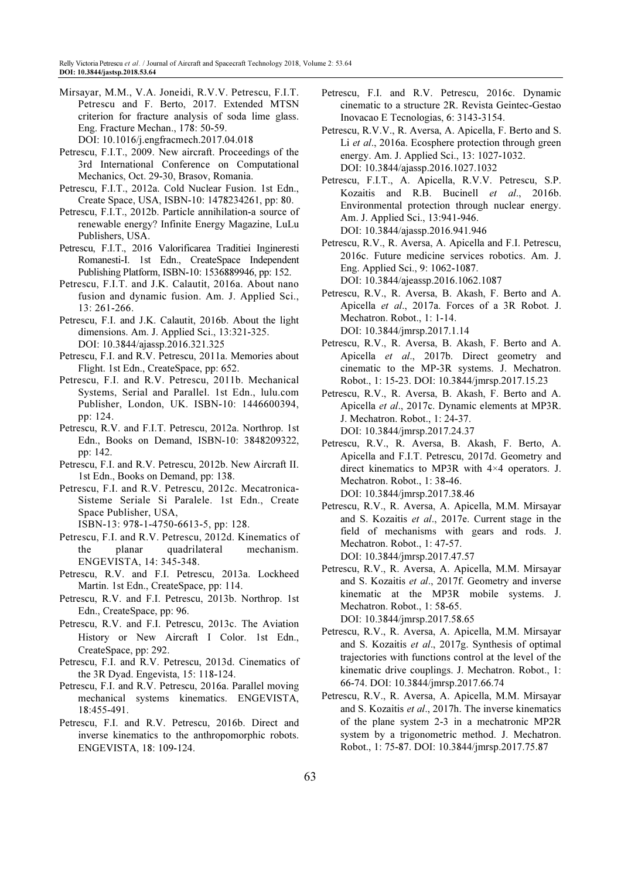- Mirsayar, M.M., V.A. Joneidi, R.V.V. Petrescu, F.I.T. Petrescu and F. Berto, 2017. Extended MTSN criterion for fracture analysis of soda lime glass. Eng. Fracture Mechan., 178: 50-59. DOI: 10.1016/j.engfracmech.2017.04.018
- Petrescu, F.I.T., 2009. New aircraft. Proceedings of the 3rd International Conference on Computational Mechanics, Oct. 29-30, Brasov, Romania.
- Petrescu, F.I.T., 2012a. Cold Nuclear Fusion. 1st Edn., Create Space, USA, ISBN-10: 1478234261, pp: 80.
- Petrescu, F.I.T., 2012b. Particle annihilation-a source of renewable energy? Infinite Energy Magazine, LuLu Publishers, USA.
- Petrescu, F.I.T., 2016 Valorificarea Traditiei Ingineresti Romanesti-I. 1st Edn., CreateSpace Independent Publishing Platform, ISBN-10: 1536889946, pp: 152.
- Petrescu, F.I.T. and J.K. Calautit, 2016a. About nano fusion and dynamic fusion. Am. J. Applied Sci., 13: 261-266.
- Petrescu, F.I. and J.K. Calautit, 2016b. About the light dimensions. Am. J. Applied Sci., 13:321-325. DOI: 10.3844/ajassp.2016.321.325
- Petrescu, F.I. and R.V. Petrescu, 2011a. Memories about Flight. 1st Edn., CreateSpace, pp: 652.
- Petrescu, F.I. and R.V. Petrescu, 2011b. Mechanical Systems, Serial and Parallel. 1st Edn., lulu.com Publisher, London, UK. ISBN-10: 1446600394, pp: 124.
- Petrescu, R.V. and F.I.T. Petrescu, 2012a. Northrop. 1st Edn., Books on Demand, ISBN-10: 3848209322, pp: 142.
- Petrescu, F.I. and R.V. Petrescu, 2012b. New Aircraft II. 1st Edn., Books on Demand, pp: 138.
- Petrescu, F.I. and R.V. Petrescu, 2012c. Mecatronica-Sisteme Seriale Si Paralele. 1st Edn., Create Space Publisher, USA,
	- ISBN-13: 978-1-4750-6613-5, pp: 128.
- Petrescu, F.I. and R.V. Petrescu, 2012d. Kinematics of the planar quadrilateral mechanism. ENGEVISTA, 14: 345-348.
- Petrescu, R.V. and F.I. Petrescu, 2013a. Lockheed Martin. 1st Edn., CreateSpace, pp: 114.
- Petrescu, R.V. and F.I. Petrescu, 2013b. Northrop. 1st Edn., CreateSpace, pp: 96.
- Petrescu, R.V. and F.I. Petrescu, 2013c. The Aviation History or New Aircraft I Color. 1st Edn., CreateSpace, pp: 292.
- Petrescu, F.I. and R.V. Petrescu, 2013d. Cinematics of the 3R Dyad. Engevista, 15: 118-124.
- Petrescu, F.I. and R.V. Petrescu, 2016a. Parallel moving mechanical systems kinematics. ENGEVISTA, 18:455-491.
- Petrescu, F.I. and R.V. Petrescu, 2016b. Direct and inverse kinematics to the anthropomorphic robots. ENGEVISTA, 18: 109-124.
- Petrescu, F.I. and R.V. Petrescu, 2016c. Dynamic cinematic to a structure 2R. Revista Geintec-Gestao Inovacao E Tecnologias, 6: 3143-3154.
- Petrescu, R.V.V., R. Aversa, A. Apicella, F. Berto and S. Li et al., 2016a. Ecosphere protection through green energy. Am. J. Applied Sci., 13: 1027-1032. DOI: 10.3844/ajassp.2016.1027.1032
- Petrescu, F.I.T., A. Apicella, R.V.V. Petrescu, S.P. Kozaitis and R.B. Bucinell et al., 2016b. Environmental protection through nuclear energy. Am. J. Applied Sci., 13:941-946. DOI: 10.3844/ajassp.2016.941.946
- Petrescu, R.V., R. Aversa, A. Apicella and F.I. Petrescu, 2016c. Future medicine services robotics. Am. J. Eng. Applied Sci., 9: 1062-1087. DOI: 10.3844/ajeassp.2016.1062.1087
- Petrescu, R.V., R. Aversa, B. Akash, F. Berto and A. Apicella et al., 2017a. Forces of a 3R Robot. J. Mechatron. Robot., 1: 1-14. DOI: 10.3844/jmrsp.2017.1.14
- Petrescu, R.V., R. Aversa, B. Akash, F. Berto and A. Apicella et al., 2017b. Direct geometry and cinematic to the MP-3R systems. J. Mechatron. Robot., 1: 15-23. DOI: 10.3844/jmrsp.2017.15.23
- Petrescu, R.V., R. Aversa, B. Akash, F. Berto and A. Apicella et al., 2017c. Dynamic elements at MP3R. J. Mechatron. Robot., 1: 24-37. DOI: 10.3844/jmrsp.2017.24.37
- Petrescu, R.V., R. Aversa, B. Akash, F. Berto, A. Apicella and F.I.T. Petrescu, 2017d. Geometry and direct kinematics to MP3R with 4×4 operators. J. Mechatron. Robot., 1: 38-46. DOI: 10.3844/jmrsp.2017.38.46
- Petrescu, R.V., R. Aversa, A. Apicella, M.M. Mirsayar and S. Kozaitis et al., 2017e. Current stage in the field of mechanisms with gears and rods. J. Mechatron. Robot., 1: 47-57. DOI: 10.3844/jmrsp.2017.47.57
- Petrescu, R.V., R. Aversa, A. Apicella, M.M. Mirsayar and S. Kozaitis et al., 2017f. Geometry and inverse kinematic at the MP3R mobile systems. J. Mechatron. Robot., 1: 58-65. DOI: 10.3844/jmrsp.2017.58.65
- Petrescu, R.V., R. Aversa, A. Apicella, M.M. Mirsayar and S. Kozaitis et al., 2017g. Synthesis of optimal trajectories with functions control at the level of the kinematic drive couplings. J. Mechatron. Robot., 1: 66-74. DOI: 10.3844/jmrsp.2017.66.74
- Petrescu, R.V., R. Aversa, A. Apicella, M.M. Mirsayar and S. Kozaitis et al., 2017h. The inverse kinematics of the plane system 2-3 in a mechatronic MP2R system by a trigonometric method. J. Mechatron. Robot., 1: 75-87. DOI: 10.3844/jmrsp.2017.75.87